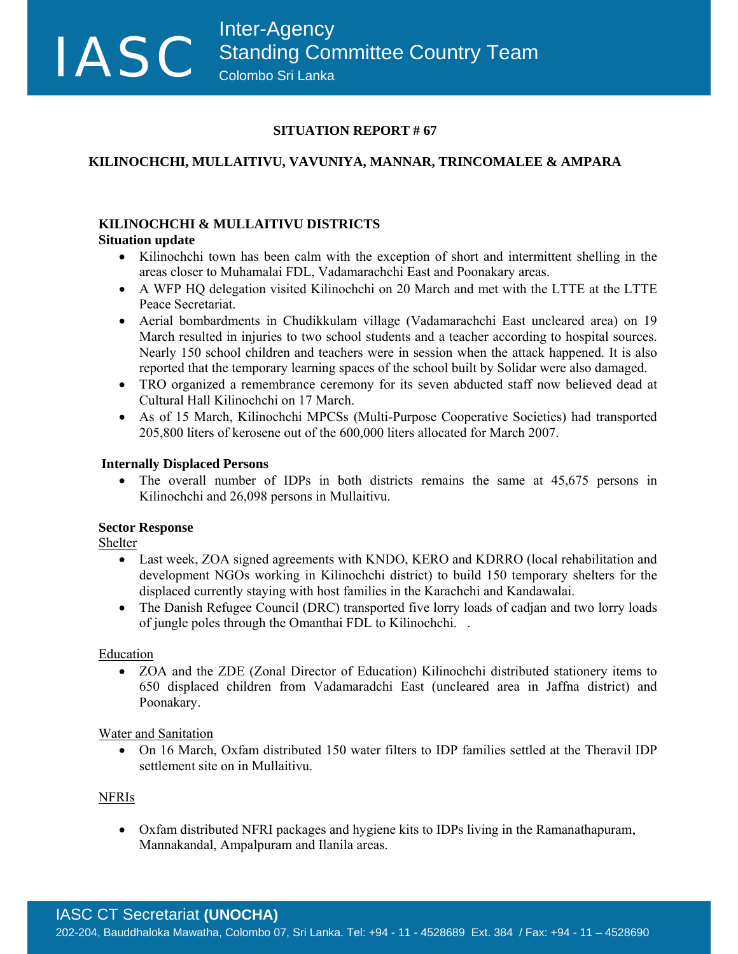### **SITUATION REPORT # 67**

# **KILINOCHCHI, MULLAITIVU, VAVUNIYA, MANNAR, TRINCOMALEE & AMPARA**

## **KILINOCHCHI & MULLAITIVU DISTRICTS**

## **Situation update**

118

- Kilinochchi town has been calm with the exception of short and intermittent shelling in the areas closer to Muhamalai FDL, Vadamarachchi East and Poonakary areas.
- A WFP HQ delegation visited Kilinochchi on 20 March and met with the LTTE at the LTTE Peace Secretariat.
- Aerial bombardments in Chudikkulam village (Vadamarachchi East uncleared area) on 19 March resulted in injuries to two school students and a teacher according to hospital sources. Nearly 150 school children and teachers were in session when the attack happened. It is also reported that the temporary learning spaces of the school built by Solidar were also damaged.
- TRO organized a remembrance ceremony for its seven abducted staff now believed dead at Cultural Hall Kilinochchi on 17 March.
- As of 15 March, Kilinochchi MPCSs (Multi-Purpose Cooperative Societies) had transported 205,800 liters of kerosene out of the 600,000 liters allocated for March 2007.

## **Internally Displaced Persons**

• The overall number of IDPs in both districts remains the same at 45,675 persons in Kilinochchi and 26,098 persons in Mullaitivu.

## **Sector Response**

Shelter

- Last week, ZOA signed agreements with KNDO, KERO and KDRRO (local rehabilitation and development NGOs working in Kilinochchi district) to build 150 temporary shelters for the displaced currently staying with host families in the Karachchi and Kandawalai.
- The Danish Refugee Council (DRC) transported five lorry loads of cadjan and two lorry loads of jungle poles through the Omanthai FDL to Kilinochchi. .

## Education

• ZOA and the ZDE (Zonal Director of Education) Kilinochchi distributed stationery items to 650 displaced children from Vadamaradchi East (uncleared area in Jaffna district) and Poonakary.

## Water and Sanitation

• On 16 March, Oxfam distributed 150 water filters to IDP families settled at the Theravil IDP settlement site on in Mullaitivu.

### NFRIs

• Oxfam distributed NFRI packages and hygiene kits to IDPs living in the Ramanathapuram, Mannakandal, Ampalpuram and Ilanila areas.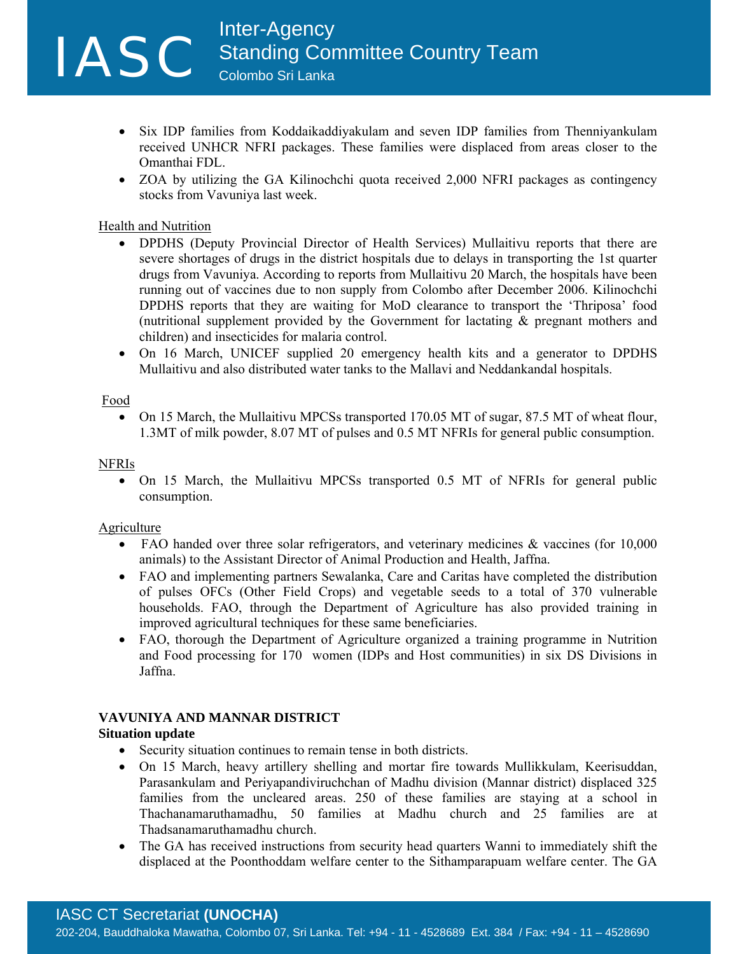Inter-Agency<br>
Standing Con<br>
Colombo Sri Lanka Standing Committee Country Team Colombo Sri Lanka

- Six IDP families from Koddaikaddiyakulam and seven IDP families from Thenniyankulam received UNHCR NFRI packages. These families were displaced from areas closer to the Omanthai FDL.
- ZOA by utilizing the GA Kilinochchi quota received 2,000 NFRI packages as contingency stocks from Vavuniya last week.

#### Health and Nutrition

- DPDHS (Deputy Provincial Director of Health Services) Mullaitivu reports that there are severe shortages of drugs in the district hospitals due to delays in transporting the 1st quarter drugs from Vavuniya. According to reports from Mullaitivu 20 March, the hospitals have been running out of vaccines due to non supply from Colombo after December 2006. Kilinochchi DPDHS reports that they are waiting for MoD clearance to transport the 'Thriposa' food (nutritional supplement provided by the Government for lactating & pregnant mothers and children) and insecticides for malaria control.
- On 16 March, UNICEF supplied 20 emergency health kits and a generator to DPDHS Mullaitivu and also distributed water tanks to the Mallavi and Neddankandal hospitals.

#### Food

228

• On 15 March, the Mullaitivu MPCSs transported 170.05 MT of sugar, 87.5 MT of wheat flour, 1.3MT of milk powder, 8.07 MT of pulses and 0.5 MT NFRIs for general public consumption.

#### NFRIs

• On 15 March, the Mullaitivu MPCSs transported 0.5 MT of NFRIs for general public consumption.

#### **Agriculture**

- FAO handed over three solar refrigerators, and veterinary medicines & vaccines (for 10,000 animals) to the Assistant Director of Animal Production and Health, Jaffna.
- FAO and implementing partners Sewalanka, Care and Caritas have completed the distribution of pulses OFCs (Other Field Crops) and vegetable seeds to a total of 370 vulnerable households. FAO, through the Department of Agriculture has also provided training in improved agricultural techniques for these same beneficiaries.
- FAO, thorough the Department of Agriculture organized a training programme in Nutrition and Food processing for 170 women (IDPs and Host communities) in six DS Divisions in Jaffna.

#### **VAVUNIYA AND MANNAR DISTRICT**

#### **Situation update**

- Security situation continues to remain tense in both districts.
- On 15 March, heavy artillery shelling and mortar fire towards Mullikkulam, Keerisuddan, Parasankulam and Periyapandiviruchchan of Madhu division (Mannar district) displaced 325 families from the uncleared areas. 250 of these families are staying at a school in Thachanamaruthamadhu, 50 families at Madhu church and 25 families are at Thadsanamaruthamadhu church.
- The GA has received instructions from security head quarters Wanni to immediately shift the displaced at the Poonthoddam welfare center to the Sithamparapuam welfare center. The GA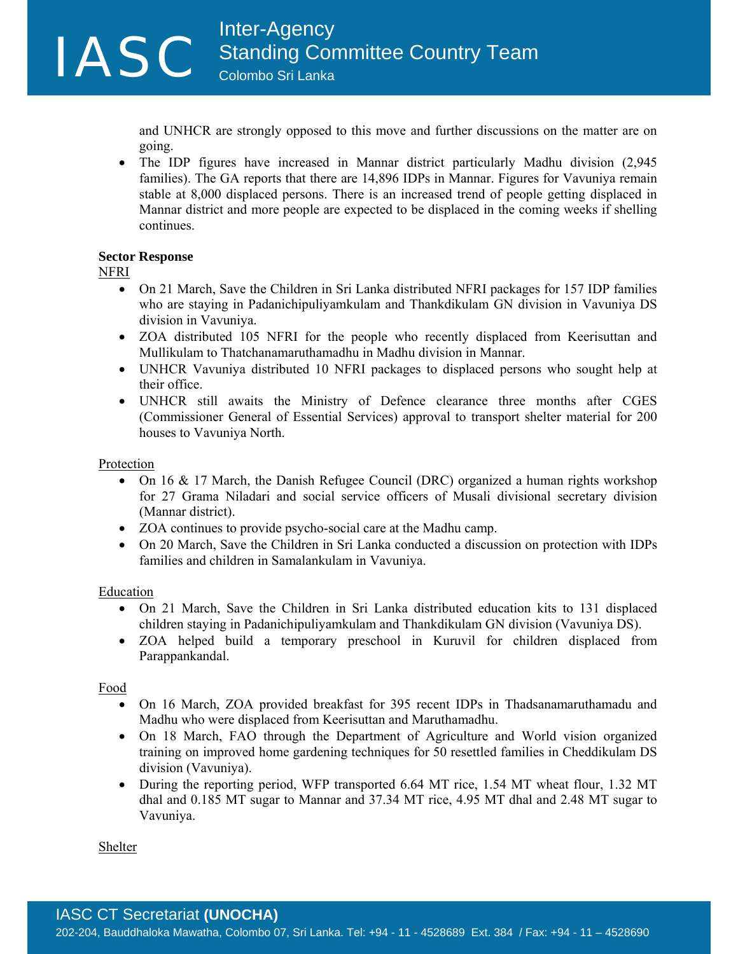and UNHCR are strongly opposed to this move and further discussions on the matter are on going.

• The IDP figures have increased in Mannar district particularly Madhu division (2,945) families). The GA reports that there are 14,896 IDPs in Mannar. Figures for Vavuniya remain stable at 8,000 displaced persons. There is an increased trend of people getting displaced in Mannar district and more people are expected to be displaced in the coming weeks if shelling continues.

#### **Sector Response**

NFRI

338

- On 21 March, Save the Children in Sri Lanka distributed NFRI packages for 157 IDP families who are staying in Padanichipuliyamkulam and Thankdikulam GN division in Vavuniya DS division in Vavuniya.
- ZOA distributed 105 NFRI for the people who recently displaced from Keerisuttan and Mullikulam to Thatchanamaruthamadhu in Madhu division in Mannar.
- UNHCR Vavuniya distributed 10 NFRI packages to displaced persons who sought help at their office.
- UNHCR still awaits the Ministry of Defence clearance three months after CGES (Commissioner General of Essential Services) approval to transport shelter material for 200 houses to Vavuniya North.

### Protection

- On 16 & 17 March, the Danish Refugee Council (DRC) organized a human rights workshop for 27 Grama Niladari and social service officers of Musali divisional secretary division (Mannar district).
- ZOA continues to provide psycho-social care at the Madhu camp.
- On 20 March, Save the Children in Sri Lanka conducted a discussion on protection with IDPs families and children in Samalankulam in Vavuniya.

#### **Education**

- On 21 March, Save the Children in Sri Lanka distributed education kits to 131 displaced children staying in Padanichipuliyamkulam and Thankdikulam GN division (Vavuniya DS).
- ZOA helped build a temporary preschool in Kuruvil for children displaced from Parappankandal.

Food

- On 16 March, ZOA provided breakfast for 395 recent IDPs in Thadsanamaruthamadu and Madhu who were displaced from Keerisuttan and Maruthamadhu.
- On 18 March, FAO through the Department of Agriculture and World vision organized training on improved home gardening techniques for 50 resettled families in Cheddikulam DS division (Vavuniya).
- During the reporting period, WFP transported 6.64 MT rice, 1.54 MT wheat flour, 1.32 MT dhal and 0.185 MT sugar to Mannar and 37.34 MT rice, 4.95 MT dhal and 2.48 MT sugar to Vavuniya.

Shelter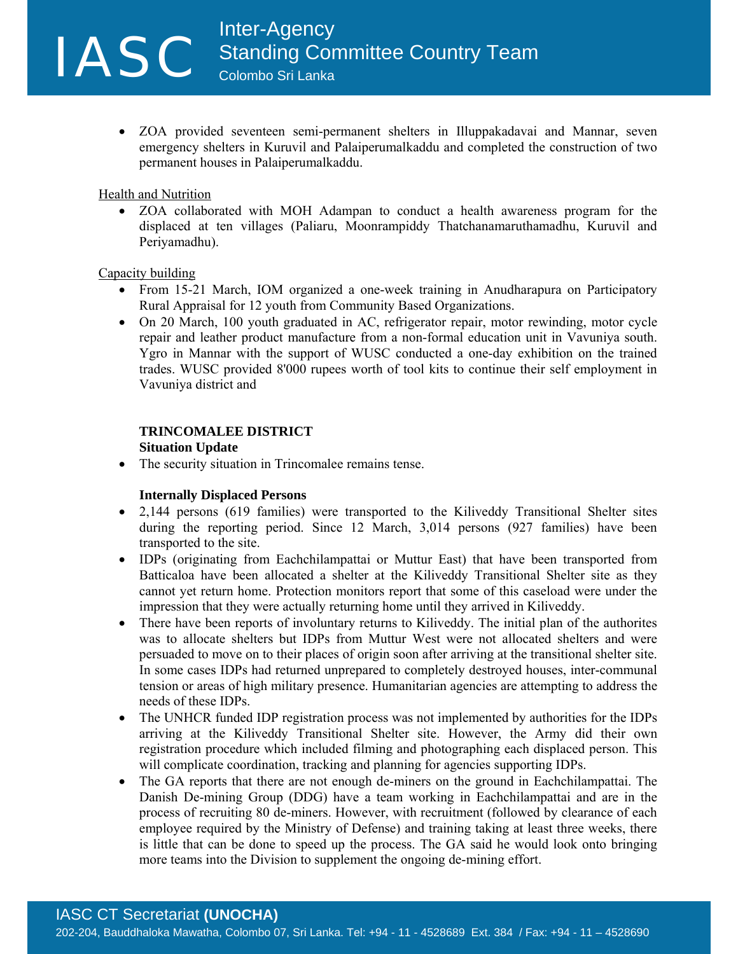• ZOA provided seventeen semi-permanent shelters in Illuppakadavai and Mannar, seven emergency shelters in Kuruvil and Palaiperumalkaddu and completed the construction of two permanent houses in Palaiperumalkaddu.

#### Health and Nutrition

448

• ZOA collaborated with MOH Adampan to conduct a health awareness program for the displaced at ten villages (Paliaru, Moonrampiddy Thatchanamaruthamadhu, Kuruvil and Periyamadhu).

#### Capacity building

- From 15-21 March, IOM organized a one-week training in Anudharapura on Participatory Rural Appraisal for 12 youth from Community Based Organizations.
- On 20 March, 100 youth graduated in AC, refrigerator repair, motor rewinding, motor cycle repair and leather product manufacture from a non-formal education unit in Vavuniya south. Ygro in Mannar with the support of WUSC conducted a one-day exhibition on the trained trades. WUSC provided 8'000 rupees worth of tool kits to continue their self employment in Vavuniya district and

#### **TRINCOMALEE DISTRICT Situation Update**

The security situation in Trincomalee remains tense.

### **Internally Displaced Persons**

- 2,144 persons (619 families) were transported to the Kiliveddy Transitional Shelter sites during the reporting period. Since 12 March, 3,014 persons (927 families) have been transported to the site.
- IDPs (originating from Eachchilampattai or Muttur East) that have been transported from Batticaloa have been allocated a shelter at the Kiliveddy Transitional Shelter site as they cannot yet return home. Protection monitors report that some of this caseload were under the impression that they were actually returning home until they arrived in Kiliveddy.
- There have been reports of involuntary returns to Kiliveddy. The initial plan of the authorites was to allocate shelters but IDPs from Muttur West were not allocated shelters and were persuaded to move on to their places of origin soon after arriving at the transitional shelter site. In some cases IDPs had returned unprepared to completely destroyed houses, inter-communal tension or areas of high military presence. Humanitarian agencies are attempting to address the needs of these IDPs.
- The UNHCR funded IDP registration process was not implemented by authorities for the IDPs arriving at the Kiliveddy Transitional Shelter site. However, the Army did their own registration procedure which included filming and photographing each displaced person. This will complicate coordination, tracking and planning for agencies supporting IDPs.
- The GA reports that there are not enough de-miners on the ground in Eachchilampattai. The Danish De-mining Group (DDG) have a team working in Eachchilampattai and are in the process of recruiting 80 de-miners. However, with recruitment (followed by clearance of each employee required by the Ministry of Defense) and training taking at least three weeks, there is little that can be done to speed up the process. The GA said he would look onto bringing more teams into the Division to supplement the ongoing de-mining effort.

## IASC CT Secretariat **(UNOCHA)**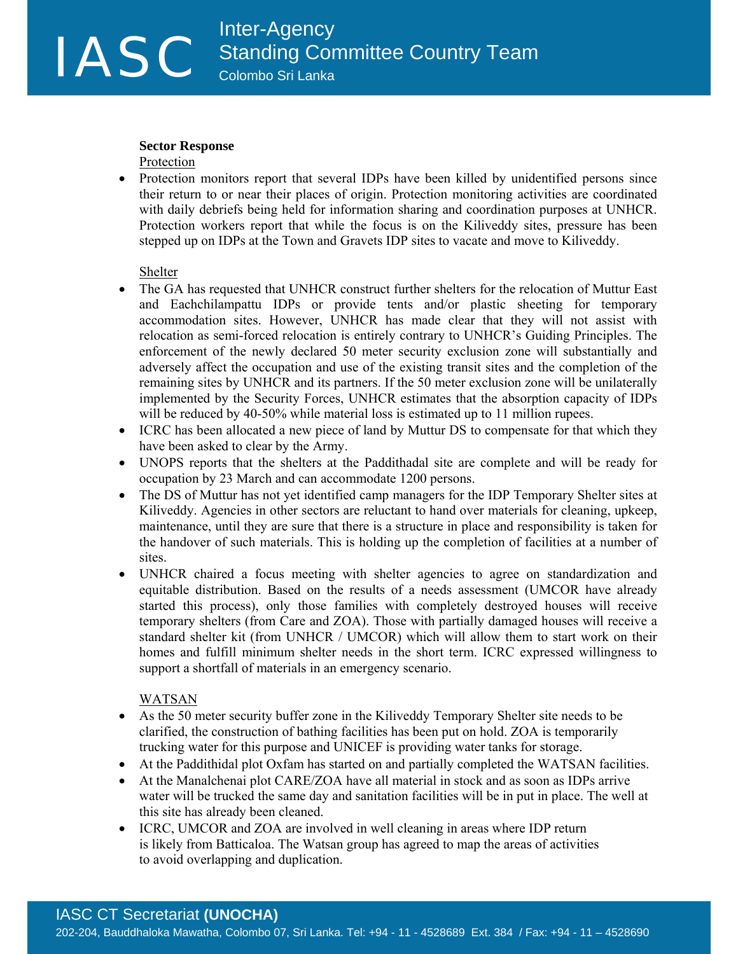#### **Sector Response**

Protection

558

• Protection monitors report that several IDPs have been killed by unidentified persons since their return to or near their places of origin. Protection monitoring activities are coordinated with daily debriefs being held for information sharing and coordination purposes at UNHCR. Protection workers report that while the focus is on the Kiliveddy sites, pressure has been stepped up on IDPs at the Town and Gravets IDP sites to vacate and move to Kiliveddy.

Shelter

- The GA has requested that UNHCR construct further shelters for the relocation of Muttur East and Eachchilampattu IDPs or provide tents and/or plastic sheeting for temporary accommodation sites. However, UNHCR has made clear that they will not assist with relocation as semi-forced relocation is entirely contrary to UNHCR's Guiding Principles. The enforcement of the newly declared 50 meter security exclusion zone will substantially and adversely affect the occupation and use of the existing transit sites and the completion of the remaining sites by UNHCR and its partners. If the 50 meter exclusion zone will be unilaterally implemented by the Security Forces, UNHCR estimates that the absorption capacity of IDPs will be reduced by 40-50% while material loss is estimated up to 11 million rupees.
- ICRC has been allocated a new piece of land by Muttur DS to compensate for that which they have been asked to clear by the Army.
- UNOPS reports that the shelters at the Paddithadal site are complete and will be ready for occupation by 23 March and can accommodate 1200 persons.
- The DS of Muttur has not yet identified camp managers for the IDP Temporary Shelter sites at Kiliveddy. Agencies in other sectors are reluctant to hand over materials for cleaning, upkeep, maintenance, until they are sure that there is a structure in place and responsibility is taken for the handover of such materials. This is holding up the completion of facilities at a number of sites.
- UNHCR chaired a focus meeting with shelter agencies to agree on standardization and equitable distribution. Based on the results of a needs assessment (UMCOR have already started this process), only those families with completely destroyed houses will receive temporary shelters (from Care and ZOA). Those with partially damaged houses will receive a standard shelter kit (from UNHCR / UMCOR) which will allow them to start work on their homes and fulfill minimum shelter needs in the short term. ICRC expressed willingness to support a shortfall of materials in an emergency scenario.

#### WATSAN

- As the 50 meter security buffer zone in the Kiliveddy Temporary Shelter site needs to be clarified, the construction of bathing facilities has been put on hold. ZOA is temporarily trucking water for this purpose and UNICEF is providing water tanks for storage.
- At the Paddithidal plot Oxfam has started on and partially completed the WATSAN facilities.
- At the Manalchenai plot CARE/ZOA have all material in stock and as soon as IDPs arrive water will be trucked the same day and sanitation facilities will be in put in place. The well at this site has already been cleaned.
- ICRC, UMCOR and ZOA are involved in well cleaning in areas where IDP return is likely from Batticaloa. The Watsan group has agreed to map the areas of activities to avoid overlapping and duplication.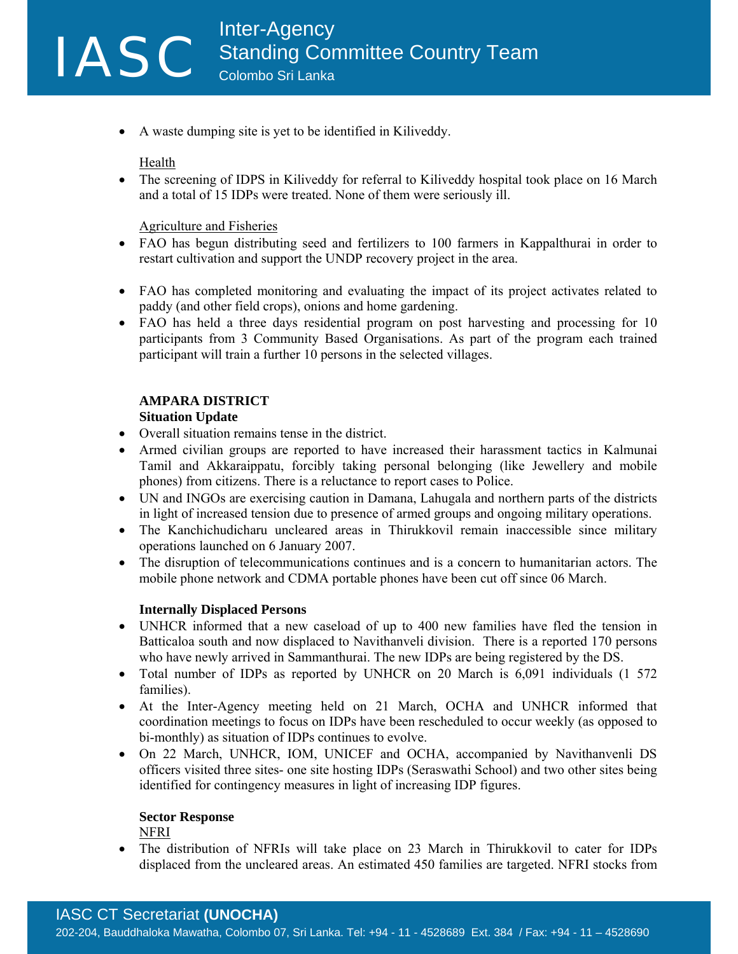• A waste dumping site is yet to be identified in Kiliveddy.

Health

668

• The screening of IDPS in Kiliveddy for referral to Kiliveddy hospital took place on 16 March and a total of 15 IDPs were treated. None of them were seriously ill.

Agriculture and Fisheries

- FAO has begun distributing seed and fertilizers to 100 farmers in Kappalthurai in order to restart cultivation and support the UNDP recovery project in the area.
- FAO has completed monitoring and evaluating the impact of its project activates related to paddy (and other field crops), onions and home gardening.
- FAO has held a three days residential program on post harvesting and processing for 10 participants from 3 Community Based Organisations. As part of the program each trained participant will train a further 10 persons in the selected villages.

#### **AMPARA DISTRICT Situation Update**

- Overall situation remains tense in the district.
- Armed civilian groups are reported to have increased their harassment tactics in Kalmunai Tamil and Akkaraippatu, forcibly taking personal belonging (like Jewellery and mobile phones) from citizens. There is a reluctance to report cases to Police.
- UN and INGOs are exercising caution in Damana, Lahugala and northern parts of the districts in light of increased tension due to presence of armed groups and ongoing military operations.
- The Kanchichudicharu uncleared areas in Thirukkovil remain inaccessible since military operations launched on 6 January 2007.
- The disruption of telecommunications continues and is a concern to humanitarian actors. The mobile phone network and CDMA portable phones have been cut off since 06 March.

### **Internally Displaced Persons**

- UNHCR informed that a new caseload of up to 400 new families have fled the tension in Batticaloa south and now displaced to Navithanveli division. There is a reported 170 persons who have newly arrived in Sammanthurai. The new IDPs are being registered by the DS.
- Total number of IDPs as reported by UNHCR on 20 March is 6,091 individuals (1 572) families).
- At the Inter-Agency meeting held on 21 March, OCHA and UNHCR informed that coordination meetings to focus on IDPs have been rescheduled to occur weekly (as opposed to bi-monthly) as situation of IDPs continues to evolve.
- On 22 March, UNHCR, IOM, UNICEF and OCHA, accompanied by Navithanvenli DS officers visited three sites- one site hosting IDPs (Seraswathi School) and two other sites being identified for contingency measures in light of increasing IDP figures.

# **Sector Response**

NFRI

• The distribution of NFRIs will take place on 23 March in Thirukkovil to cater for IDPs displaced from the uncleared areas. An estimated 450 families are targeted. NFRI stocks from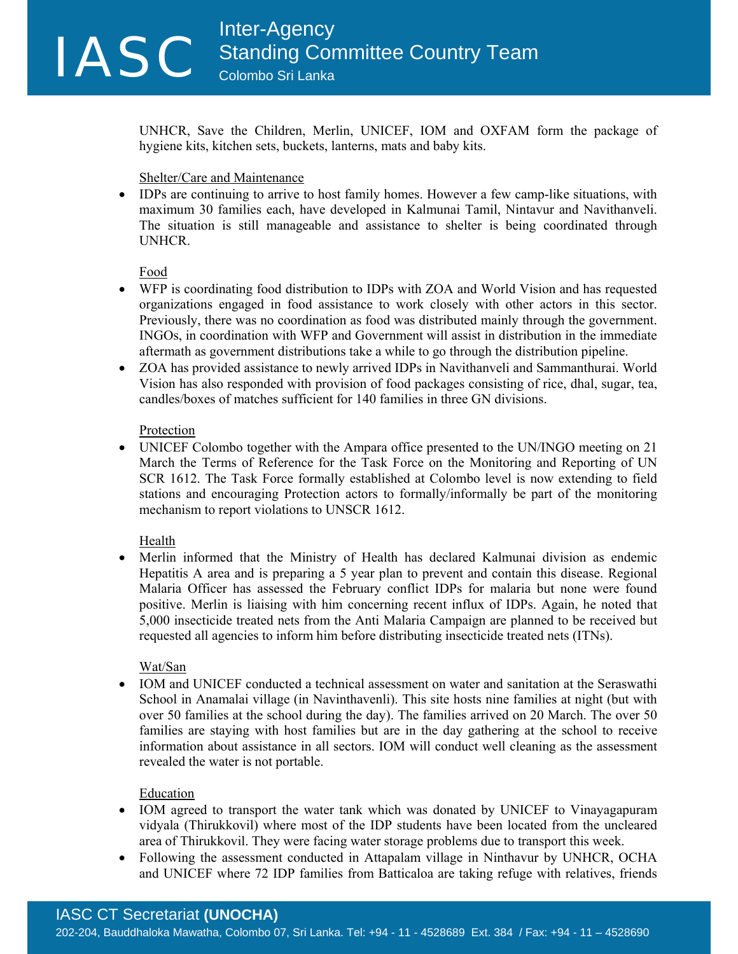UNHCR, Save the Children, Merlin, UNICEF, IOM and OXFAM form the package of hygiene kits, kitchen sets, buckets, lanterns, mats and baby kits.

#### Shelter/Care and Maintenance

• IDPs are continuing to arrive to host family homes. However a few camp-like situations, with maximum 30 families each, have developed in Kalmunai Tamil, Nintavur and Navithanveli. The situation is still manageable and assistance to shelter is being coordinated through UNHCR.

Food

- WFP is coordinating food distribution to IDPs with ZOA and World Vision and has requested organizations engaged in food assistance to work closely with other actors in this sector. Previously, there was no coordination as food was distributed mainly through the government. INGOs, in coordination with WFP and Government will assist in distribution in the immediate aftermath as government distributions take a while to go through the distribution pipeline.
- ZOA has provided assistance to newly arrived IDPs in Navithanveli and Sammanthurai. World Vision has also responded with provision of food packages consisting of rice, dhal, sugar, tea, candles/boxes of matches sufficient for 140 families in three GN divisions.

#### **Protection**

• UNICEF Colombo together with the Ampara office presented to the UN/INGO meeting on 21 March the Terms of Reference for the Task Force on the Monitoring and Reporting of UN SCR 1612. The Task Force formally established at Colombo level is now extending to field stations and encouraging Protection actors to formally/informally be part of the monitoring mechanism to report violations to UNSCR 1612.

Health

• Merlin informed that the Ministry of Health has declared Kalmunai division as endemic Hepatitis A area and is preparing a 5 year plan to prevent and contain this disease. Regional Malaria Officer has assessed the February conflict IDPs for malaria but none were found positive. Merlin is liaising with him concerning recent influx of IDPs. Again, he noted that 5,000 insecticide treated nets from the Anti Malaria Campaign are planned to be received but requested all agencies to inform him before distributing insecticide treated nets (ITNs).

#### Wat/San

• IOM and UNICEF conducted a technical assessment on water and sanitation at the Seraswathi School in Anamalai village (in Navinthavenli). This site hosts nine families at night (but with over 50 families at the school during the day). The families arrived on 20 March. The over 50 families are staying with host families but are in the day gathering at the school to receive information about assistance in all sectors. IOM will conduct well cleaning as the assessment revealed the water is not portable.

### Education

- IOM agreed to transport the water tank which was donated by UNICEF to Vinayagapuram vidyala (Thirukkovil) where most of the IDP students have been located from the uncleared area of Thirukkovil. They were facing water storage problems due to transport this week.
- Following the assessment conducted in Attapalam village in Ninthavur by UNHCR, OCHA and UNICEF where 72 IDP families from Batticaloa are taking refuge with relatives, friends

# IASC CT Secretariat **(UNOCHA)**